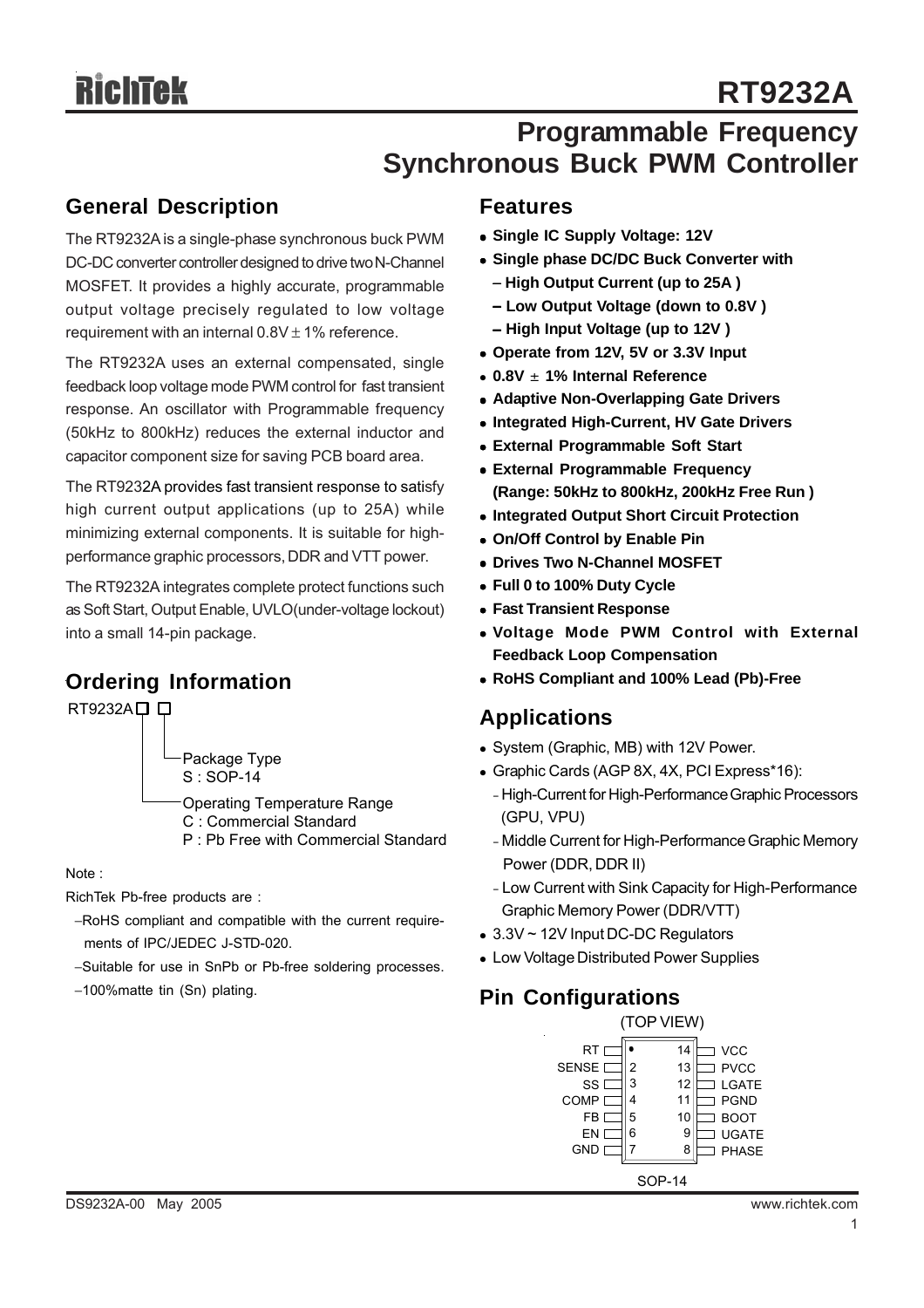# **Programmable Frequency Synchronous Buck PWM Controller**

### **General Description**

The RT9232A is a single-phase synchronous buck PWM DC-DC converter controller designed to drive two N-Channel MOSFET. It provides a highly accurate, programmable output voltage precisely regulated to low voltage requirement with an internal  $0.8V \pm 1\%$  reference.

The RT9232A uses an external compensated, single feedback loop voltage mode PWM control for fast transient response. An oscillator with Programmable frequency (50kHz to 800kHz) reduces the external inductor and capacitor component size for saving PCB board area.

The RT9232A provides fast transient response to satisfy high current output applications (up to 25A) while minimizing external components. It is suitable for highperformance graphic processors, DDR and VTT power.

The RT9232A integrates complete protect functions such as Soft Start, Output Enable, UVLO(under-voltage lockout) into a small 14-pin package.

### **Ordering Information**

 $RT9232A \square \square$ 

Package Type S : SOP-14

Operating Temperature Range C : Commercial Standard

P : Pb Free with Commercial Standard

Note :

RichTek Pb-free products are :

- −RoHS compliant and compatible with the current require ments of IPC/JEDEC J-STD-020.
- −Suitable for use in SnPb or Pb-free soldering processes.
- −100%matte tin (Sn) plating.

#### **Features**

- $\bullet$  **Single IC Supply Voltage: 12V**
- **Single phase DC/DC Buck Converter with** 
	- − **High Output Current (up to 25A )**
	- − **Low Output Voltage (down to 0.8V )** − **High Input Voltage (up to 12V )**
- Operate from 12V, 5V or 3.3V Input
- <sup>z</sup> **0.8V** ± **1% Internal Reference**
- **Adaptive Non-Overlapping Gate Drivers**
- **Integrated High-Current, HV Gate Drivers**
- **External Programmable Soft Start**
- **External Programmable Frequency (Range: 50kHz to 800kHz, 200kHz Free Run )**
- $\bullet$  **Integrated Output Short Circuit Protection**
- **On/Off Control by Enable Pin**
- **Drives Two N-Channel MOSFET**
- <sup>z</sup> **Full 0 to 100% Duty Cycle**
- **Fast Transient Response**
- <sup>z</sup> **Voltage Mode PWM Control with External Feedback Loop Compensation**
- <sup>z</sup> **RoHS Compliant and 100% Lead (Pb)-Free**

### **Applications**

- System (Graphic, MB) with 12V Power.
- Graphic Cards (AGP 8X, 4X, PCI Express\*16):
	- High-Current for High-Performance Graphic Processors (GPU, VPU)
	- Middle Current for High-Performance Graphic Memory Power (DDR, DDR II)
	- Low Current with Sink Capacity for High-Performance Graphic Memory Power (DDR/VTT)
- $\bullet$  3.3V ~ 12V Input DC-DC Regulators
- Low Voltage Distributed Power Supplies

### **Pin Configurations**

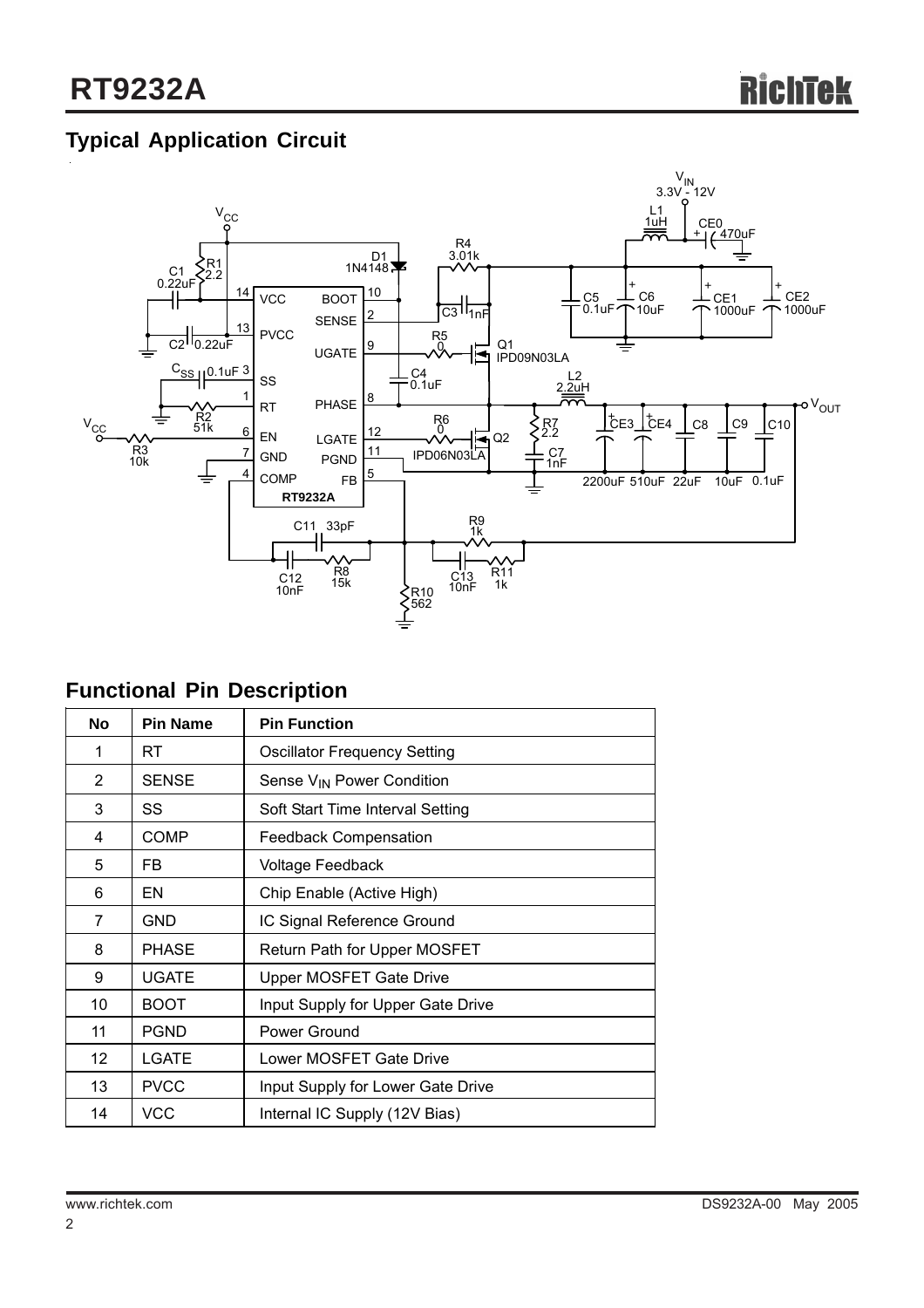# **Typical Application Circuit**



# **Functional Pin Description**

| <b>No</b>         | <b>Pin Name</b>                                  | <b>Pin Function</b>                   |  |  |
|-------------------|--------------------------------------------------|---------------------------------------|--|--|
| 1                 | RT                                               | <b>Oscillator Frequency Setting</b>   |  |  |
| $\overline{2}$    | <b>SENSE</b>                                     | Sense V <sub>IN</sub> Power Condition |  |  |
| 3                 | SS                                               | Soft Start Time Interval Setting      |  |  |
| 4                 | COMP                                             | <b>Feedback Compensation</b>          |  |  |
| 5                 | FB.                                              | Voltage Feedback                      |  |  |
| 6                 | EN                                               | Chip Enable (Active High)             |  |  |
| 7                 | <b>GND</b>                                       | IC Signal Reference Ground            |  |  |
| 8                 | <b>PHASE</b>                                     | Return Path for Upper MOSFET          |  |  |
| 9                 | UGATE                                            | Upper MOSFET Gate Drive               |  |  |
| 10                | <b>BOOT</b><br>Input Supply for Upper Gate Drive |                                       |  |  |
| 11                | <b>PGND</b>                                      | Power Ground                          |  |  |
| $12 \overline{ }$ | <b>LGATE</b>                                     | Lower MOSFET Gate Drive               |  |  |
| 13                | <b>PVCC</b>                                      | Input Supply for Lower Gate Drive     |  |  |
| 14                | <b>VCC</b>                                       | Internal IC Supply (12V Bias)         |  |  |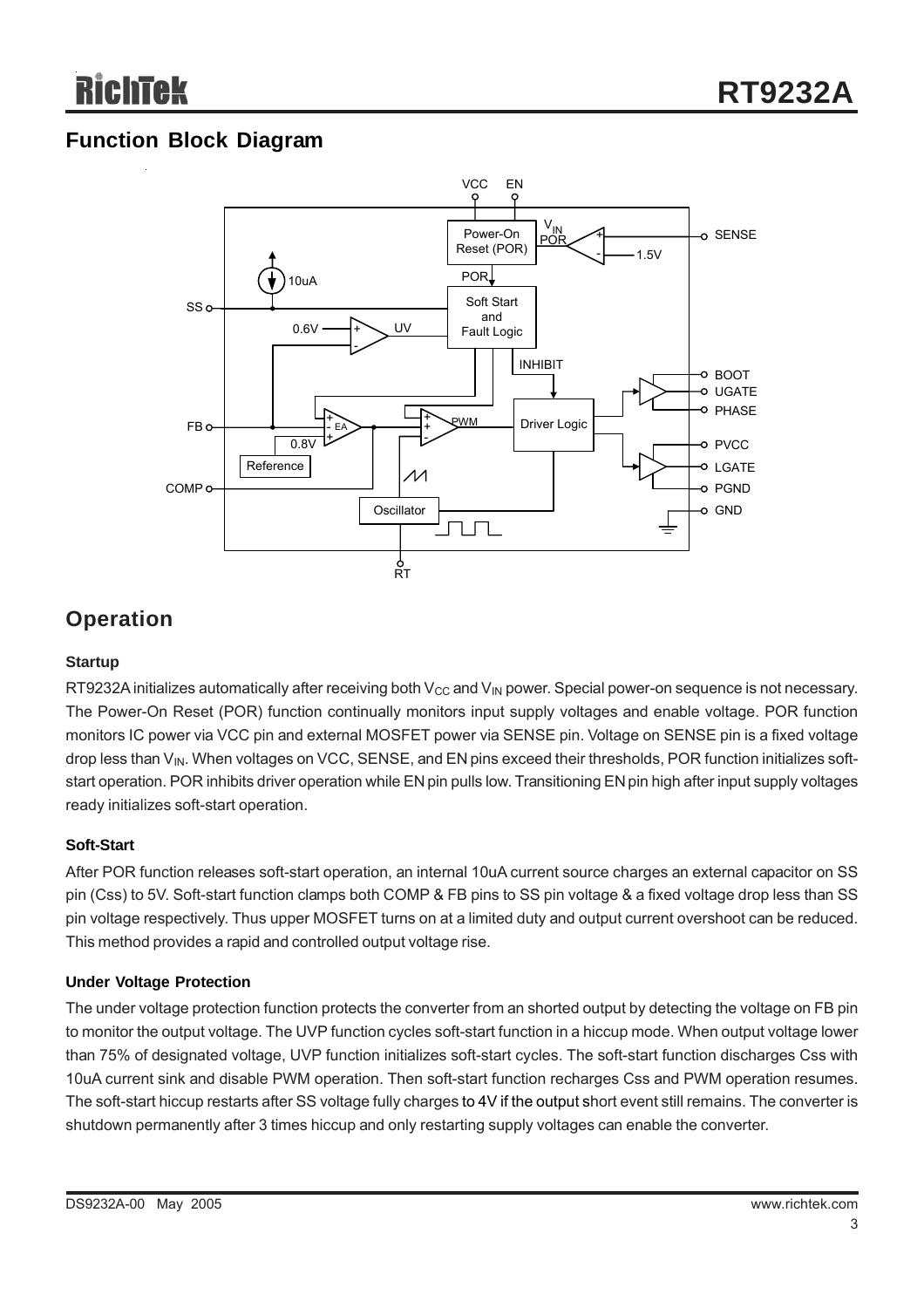## **Function Block Diagram**



## **Operation**

#### **Startup**

RT9232A initializes automatically after receiving both  $V_{CC}$  and  $V_{IN}$  power. Special power-on sequence is not necessary. The Power-On Reset (POR) function continually monitors input supply voltages and enable voltage. POR function monitors IC power via VCC pin and external MOSFET power via SENSE pin. Voltage on SENSE pin is a fixed voltage drop less than V<sub>IN</sub>. When voltages on VCC, SENSE, and EN pins exceed their thresholds, POR function initializes softstart operation. POR inhibits driver operation while EN pin pulls low. Transitioning EN pin high after input supply voltages ready initializes soft-start operation.

#### **Soft-Start**

After POR function releases soft-start operation, an internal 10uA current source charges an external capacitor on SS pin (Css) to 5V. Soft-start function clamps both COMP & FB pins to SS pin voltage & a fixed voltage drop less than SS pin voltage respectively. Thus upper MOSFET turns on at a limited duty and output current overshoot can be reduced. This method provides a rapid and controlled output voltage rise.

#### **Under Voltage Protection**

The under voltage protection function protects the converter from an shorted output by detecting the voltage on FB pin to monitor the output voltage. The UVP function cycles soft-start function in a hiccup mode. When output voltage lower than 75% of designated voltage, UVP function initializes soft-start cycles. The soft-start function discharges Css with 10uA current sink and disable PWM operation. Then soft-start function recharges Css and PWM operation resumes. The soft-start hiccup restarts after SS voltage fully charges to 4V if the output short event still remains. The converter is shutdown permanently after 3 times hiccup and only restarting supply voltages can enable the converter.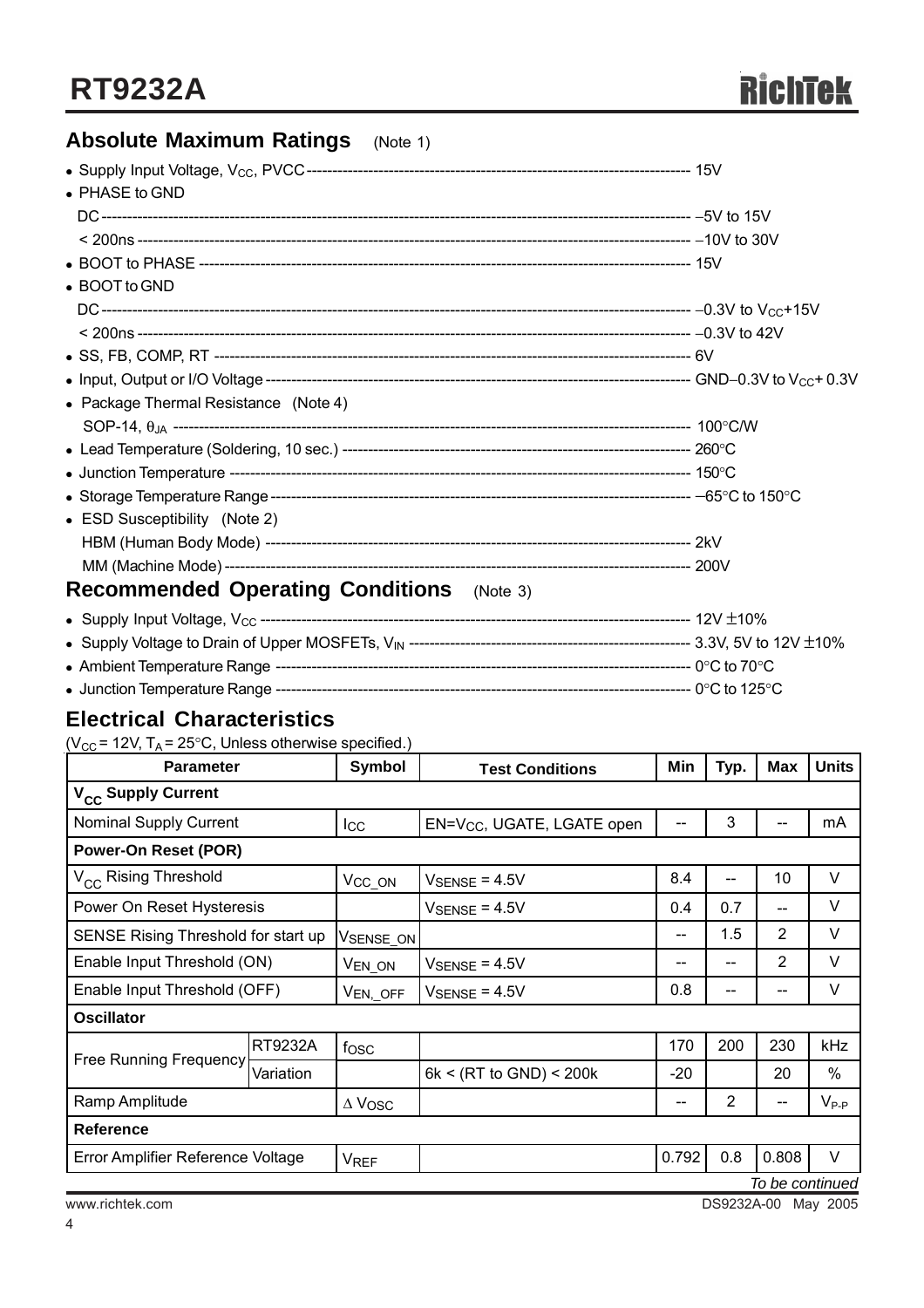# **Absolute Maximum Ratings** (Note 1)

| $\bullet$ PHASE to GND                              |  |
|-----------------------------------------------------|--|
|                                                     |  |
|                                                     |  |
|                                                     |  |
| • BOOT to GND                                       |  |
|                                                     |  |
|                                                     |  |
|                                                     |  |
|                                                     |  |
| • Package Thermal Resistance (Note 4)               |  |
|                                                     |  |
|                                                     |  |
|                                                     |  |
|                                                     |  |
| • ESD Susceptibility (Note 2)                       |  |
|                                                     |  |
|                                                     |  |
| <b>Recommended Operating Conditions</b><br>(Note 3) |  |
|                                                     |  |

| • Junction Temperature Range ---- | --- 0°C to 125°C . |
|-----------------------------------|--------------------|

### **Electrical Characteristics**

( $V_{CC}$  = 12V, T<sub>A</sub> = 25°C, Unless otherwise specified.)

| <b>Parameter</b>                    |           | Symbol             | <b>Test Conditions</b>                 | Min   | Typ. | Max               | <b>Units</b> |
|-------------------------------------|-----------|--------------------|----------------------------------------|-------|------|-------------------|--------------|
| V <sub>CC</sub> Supply Current      |           |                    |                                        |       |      |                   |              |
| <b>Nominal Supply Current</b>       |           | $_{\text{Lcc}}$    | EN=V <sub>CC</sub> , UGATE, LGATE open | $-$   | 3    |                   | mA           |
| <b>Power-On Reset (POR)</b>         |           |                    |                                        |       |      |                   |              |
| V <sub>CC</sub> Rising Threshold    |           | V <sub>CC_ON</sub> | $V_{\rm SENSE}$ = 4.5V                 | 8.4   | --   | 10                | V            |
| Power On Reset Hysteresis           |           |                    | $V_{\text{SENSE}} = 4.5V$              | 0.4   | 0.7  | $\qquad \qquad -$ | V            |
| SENSE Rising Threshold for start up |           | VSENSE_ON          |                                        | --    | 1.5  | $\overline{2}$    | V            |
| Enable Input Threshold (ON)         |           | V <sub>EN_ON</sub> | $V_{\text{SENSE}} = 4.5V$              | --    | --   | $\overline{2}$    | V            |
| Enable Input Threshold (OFF)        |           | $V_{EN, \_OFF}$    | $V_{\text{SENSE}} = 4.5V$              | 0.8   | --   | --                | V            |
| <b>Oscillator</b>                   |           |                    |                                        |       |      |                   |              |
| <b>Free Running Frequency</b>       | RT9232A   | fosc               |                                        | 170   | 200  | 230               | <b>kHz</b>   |
|                                     | Variation |                    | 6k < (RT to GND) < 200k                | $-20$ |      | 20                | $\%$         |
| Ramp Amplitude                      |           | $\Delta$ Vosc      |                                        | --    | 2    | --                | $V_{P-P}$    |
| <b>Reference</b>                    |           |                    |                                        |       |      |                   |              |
| Error Amplifier Reference Voltage   |           | <b>VREF</b>        |                                        | 0.792 | 0.8  | 0.808             | $\vee$       |
| To be continued                     |           |                    |                                        |       |      |                   |              |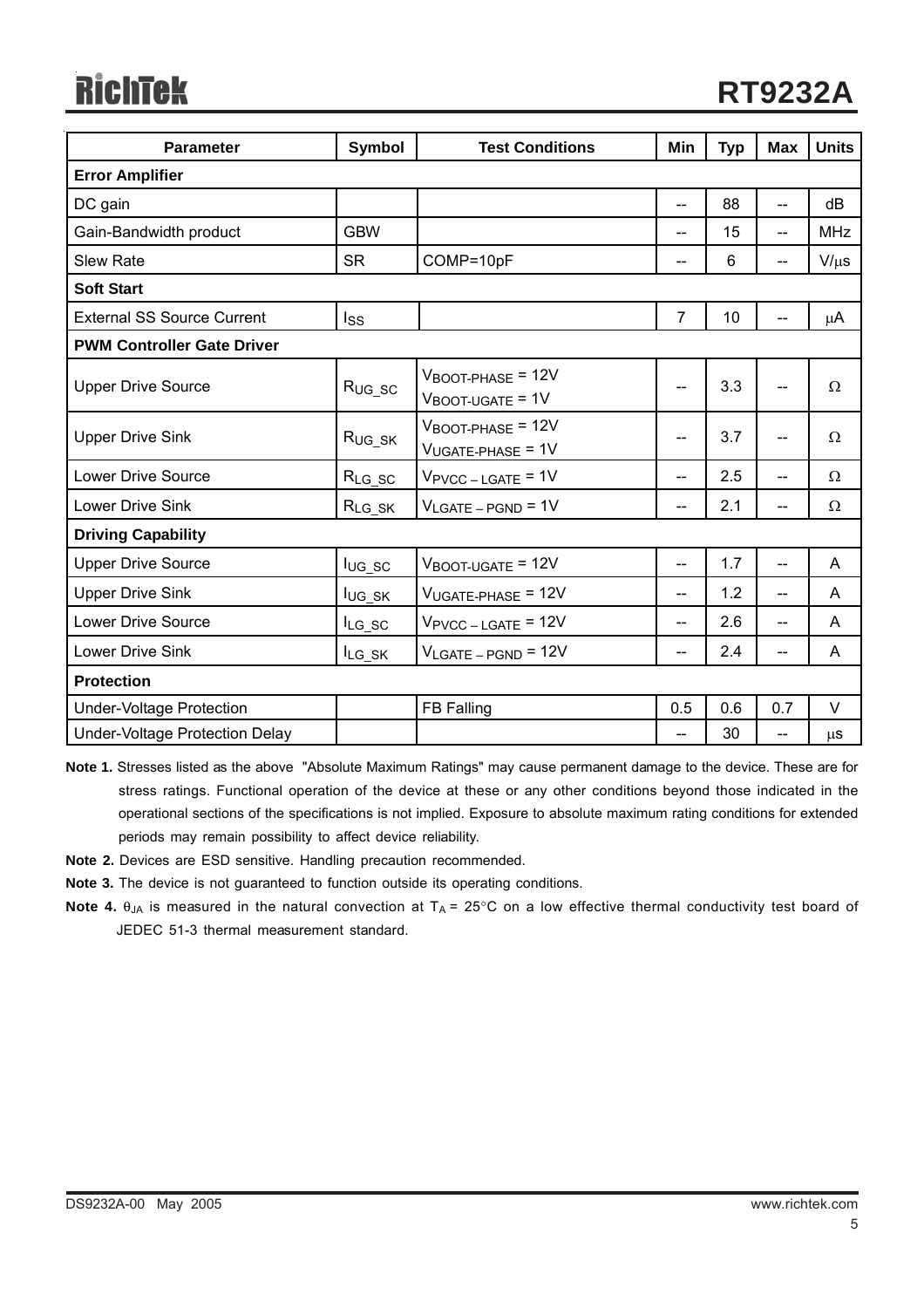# **RichTek**

| <b>Parameter</b>                  | <b>Symbol</b>      | <b>Test Conditions</b>                                        | Min            | <b>Typ</b> | <b>Max</b>     | <b>Units</b> |  |
|-----------------------------------|--------------------|---------------------------------------------------------------|----------------|------------|----------------|--------------|--|
| <b>Error Amplifier</b>            |                    |                                                               |                |            |                |              |  |
| DC gain                           |                    |                                                               | $\overline{a}$ | 88         | $\overline{a}$ | dB           |  |
| Gain-Bandwidth product            | <b>GBW</b>         |                                                               | --             | 15         | $-$            | <b>MHz</b>   |  |
| <b>Slew Rate</b>                  | <b>SR</b>          | COMP=10pF                                                     | --             | 6          | --             | $V/\mu s$    |  |
| <b>Soft Start</b>                 |                    |                                                               |                |            |                |              |  |
| <b>External SS Source Current</b> | Iss                |                                                               | $\overline{7}$ | 10         |                | μA           |  |
| <b>PWM Controller Gate Driver</b> |                    |                                                               |                |            |                |              |  |
| <b>Upper Drive Source</b>         | $R_{UG\_SC}$       | $V_{\text{BOOT-PHASE}}$ = 12V<br>$V_{\text{BOOT-UGATE}} = 1V$ | --             | 3.3        | --             | Ω            |  |
| <b>Upper Drive Sink</b>           | R <sub>UG_SK</sub> | $V_{\text{BOOT-PHASE}}$ = 12V<br>$V_{UGATE-PHASE}$ = 1V       | --             | 3.7        | --             | Ω            |  |
| <b>Lower Drive Source</b>         | $R_{LG\_SC}$       | $V_{\text{PVCC} - \text{LGATE}}$ = 1V                         | $\overline{a}$ | 2.5        | $\overline{a}$ | Ω            |  |
| <b>Lower Drive Sink</b>           | $R_{LG\_SK}$       | $V_{LGATE-PGND} = 1V$                                         | $- -$          | 2.1        | $\overline{a}$ | Ω            |  |
| <b>Driving Capability</b>         |                    |                                                               |                |            |                |              |  |
| <b>Upper Drive Source</b>         | $I_{UG_SC}$        | $V_{\text{BOOT-UGATE}} = 12V$                                 | --             | 1.7        | --             | A            |  |
| <b>Upper Drive Sink</b>           | lug_sk             | $V_{UGATE-PHASE}$ = 12V                                       | --             | 1.2        | $\overline{a}$ | A            |  |
| <b>Lower Drive Source</b>         | $I_{LG_SC}$        | $V_{\text{PVCC} - \text{LGATE}} = 12V$                        | $- -$          | 2.6        | $- -$          | A            |  |
| <b>Lower Drive Sink</b>           | $I_{LG\_SK}$       | $V_{LGATE-PGND}$ = 12V                                        | --             | 2.4        | --             | A            |  |
| <b>Protection</b>                 |                    |                                                               |                |            |                |              |  |
| <b>Under-Voltage Protection</b>   |                    | FB Falling                                                    | 0.5            | 0.6        | 0.7            | V            |  |
| Under-Voltage Protection Delay    |                    |                                                               | --             | 30         | --             | <b>us</b>    |  |

**Note 1.** Stresses listed as the above "Absolute Maximum Ratings" may cause permanent damage to the device. These are for stress ratings. Functional operation of the device at these or any other conditions beyond those indicated in the operational sections of the specifications is not implied. Exposure to absolute maximum rating conditions for extended periods may remain possibility to affect device reliability.

**Note 2.** Devices are ESD sensitive. Handling precaution recommended.

**Note 3.** The device is not guaranteed to function outside its operating conditions.

**Note 4.** θ<sub>JA</sub> is measured in the natural convection at T<sub>A</sub> = 25°C on a low effective thermal conductivity test board of JEDEC 51-3 thermal measurement standard.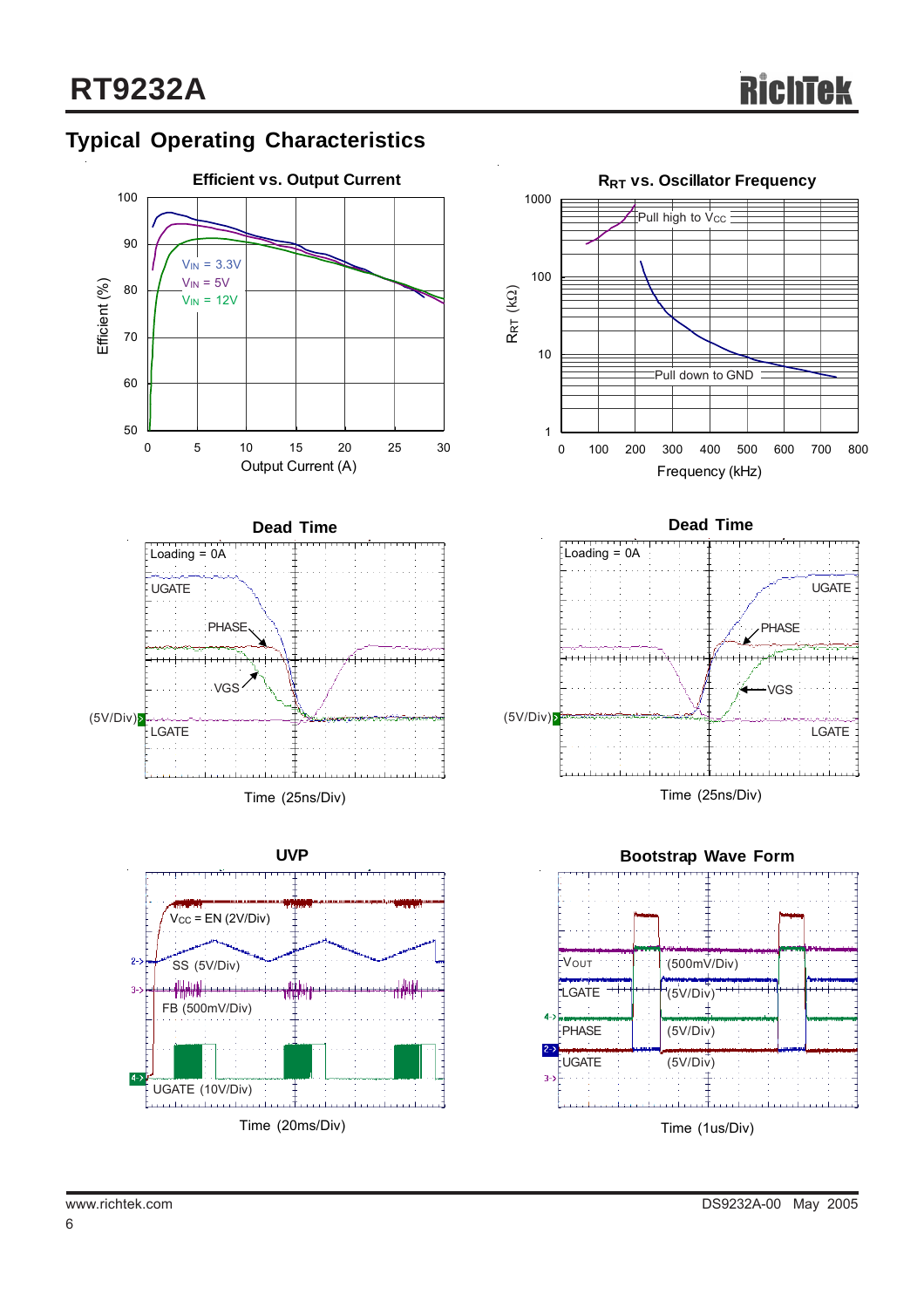# **Typical Operating Characteristics**









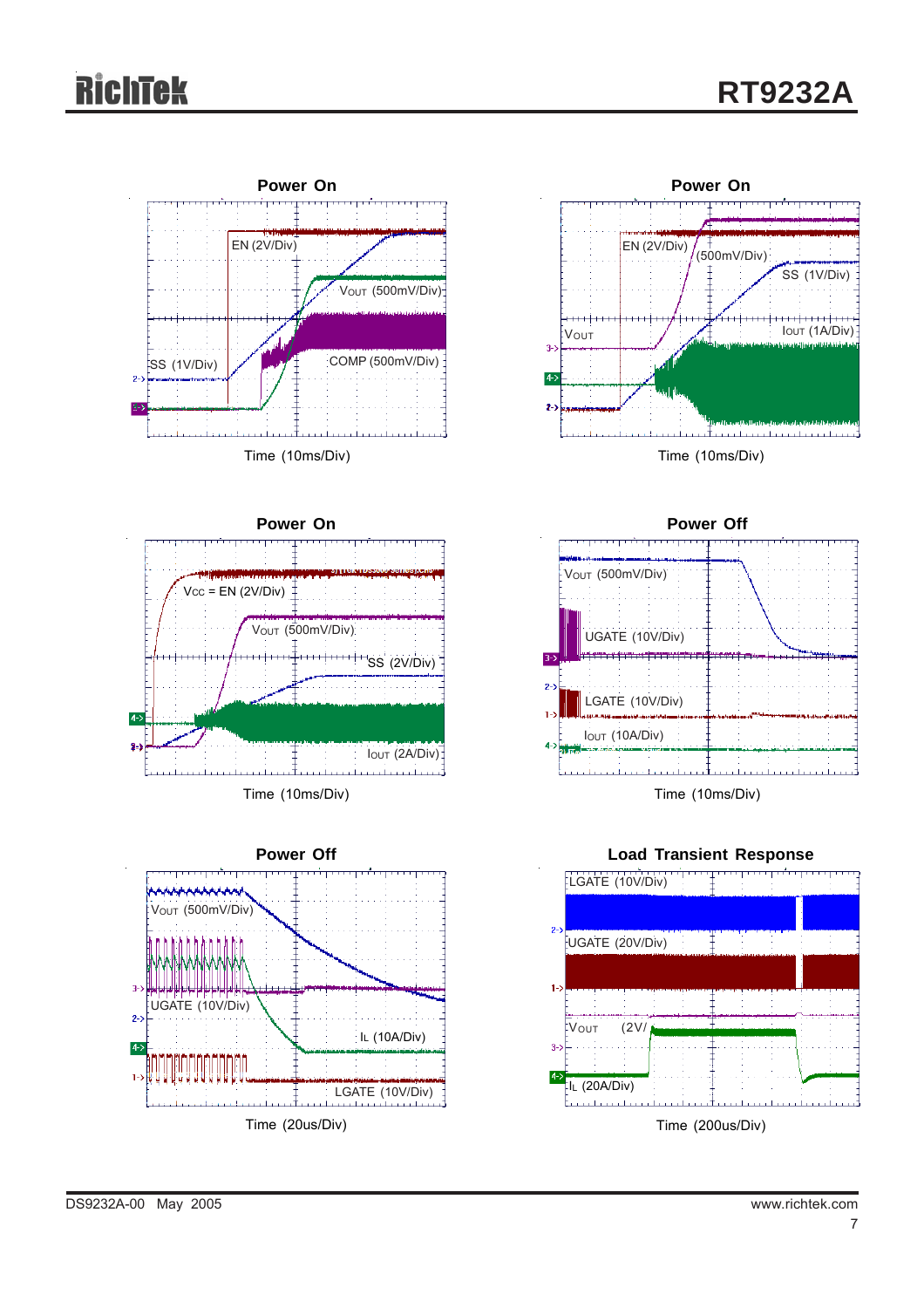# Richtek









**Power Off** V<sub>OUT</sub> (500mV/Div) UGATE (10V/Div) 14 ANNI 14 LGATE (10V/Div) IOUT (10A/Div) Time (10ms/Div)

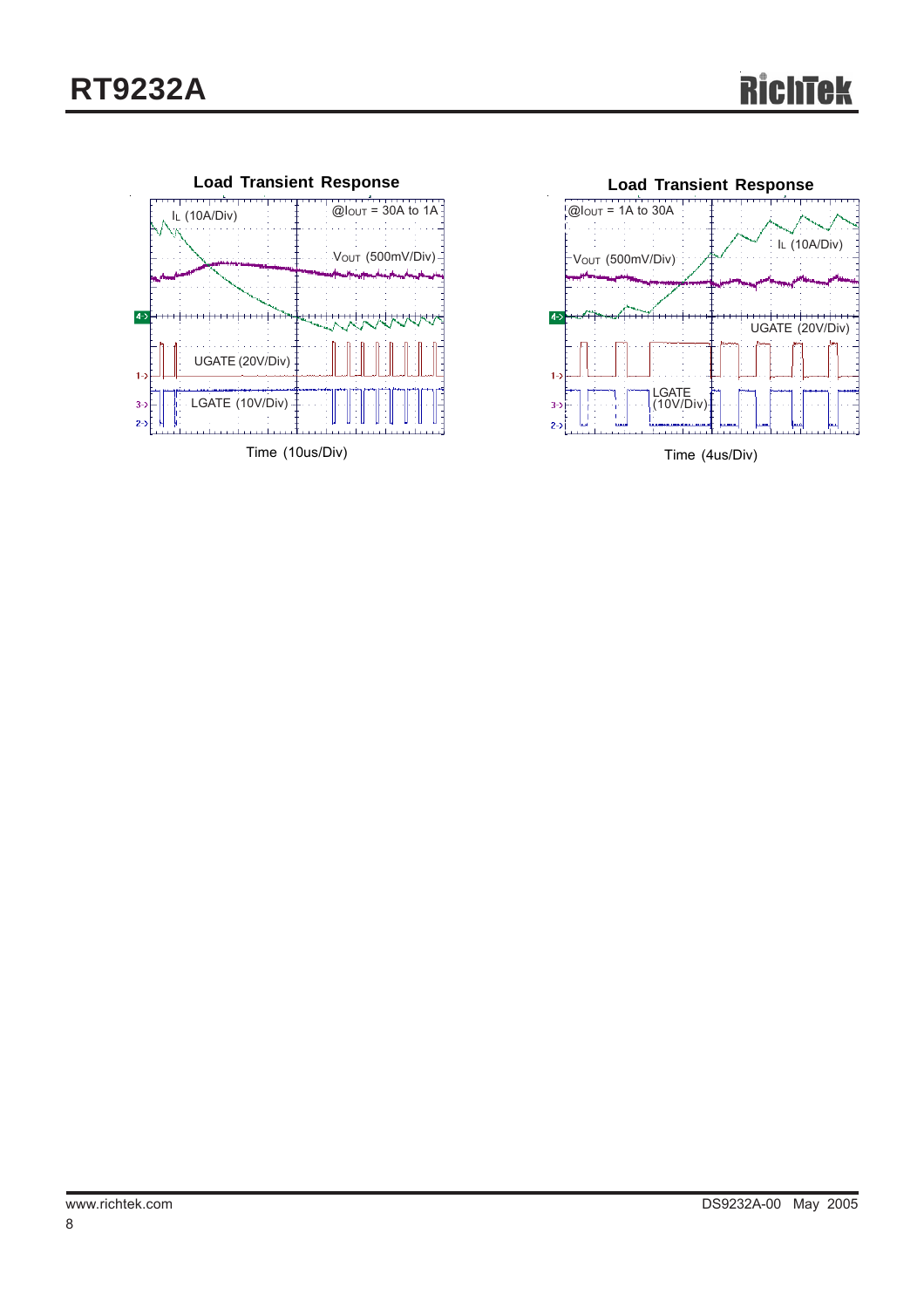





Time (4us/Div)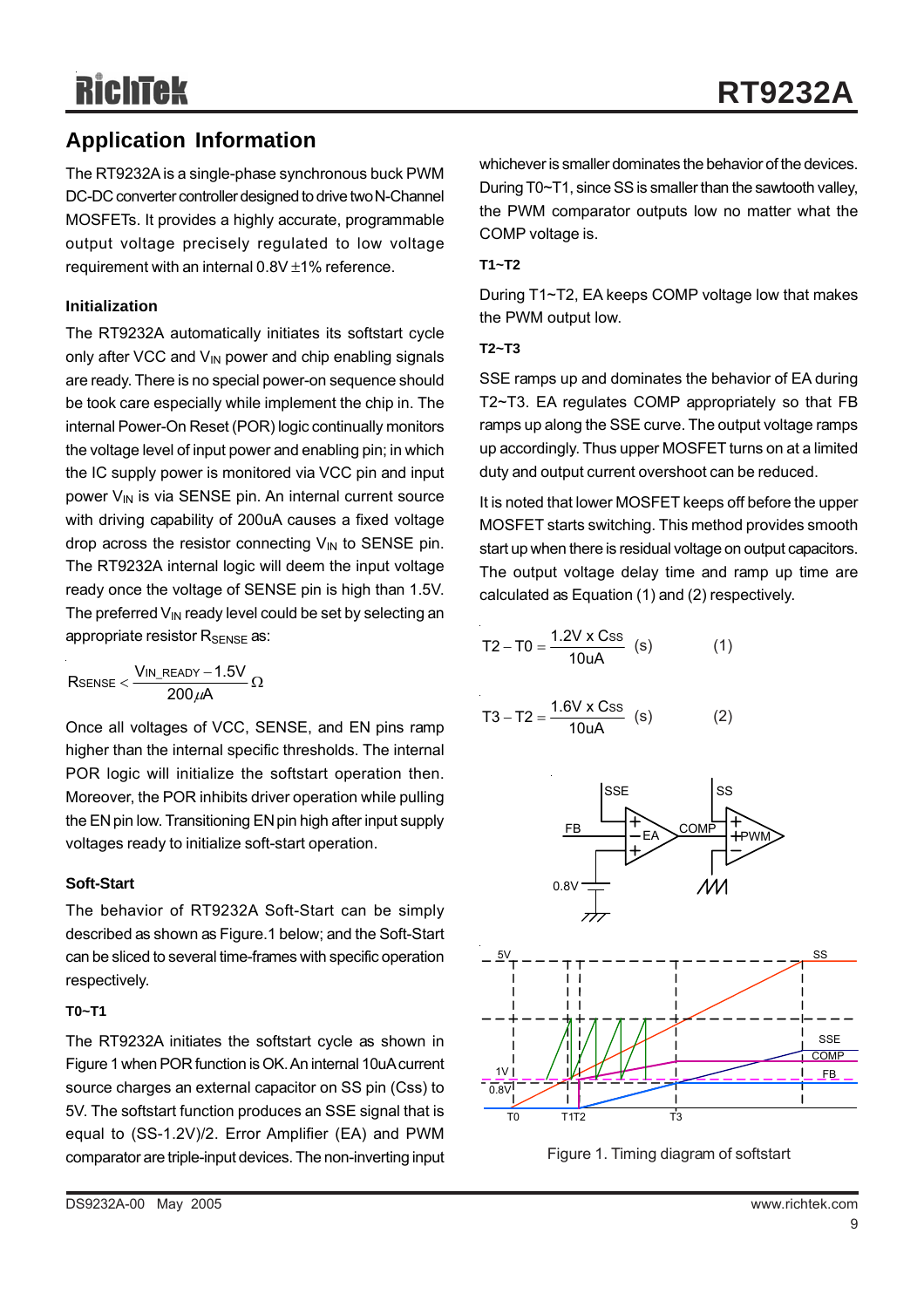## **Application Information**

The RT9232A is a single-phase synchronous buck PWM DC-DC converter controller designed to drive two N-Channel MOSFETs. It provides a highly accurate, programmable output voltage precisely regulated to low voltage requirement with an internal 0.8V ±1% reference.

#### **Initialization**

The RT9232A automatically initiates its softstart cycle only after VCC and  $V_{IN}$  power and chip enabling signals are ready. There is no special power-on sequence should be took care especially while implement the chip in. The internal Power-On Reset (POR) logic continually monitors the voltage level of input power and enabling pin; in which the IC supply power is monitored via VCC pin and input power  $V_{IN}$  is via SENSE pin. An internal current source with driving capability of 200uA causes a fixed voltage drop across the resistor connecting  $V_{IN}$  to SENSE pin. The RT9232A internal logic will deem the input voltage ready once the voltage of SENSE pin is high than 1.5V. The preferred  $V_{\text{IN}}$  ready level could be set by selecting an appropriate resistor R<sub>SENSE</sub> as:

$$
R_{SENSE} < \frac{V_{IN\_READV} - 1.5V}{200\,\mu A} \,\Omega
$$

Once all voltages of VCC, SENSE, and EN pins ramp higher than the internal specific thresholds. The internal POR logic will initialize the softstart operation then. Moreover, the POR inhibits driver operation while pulling the EN pin low. Transitioning EN pin high after input supply voltages ready to initialize soft-start operation.

#### **Soft-Start**

The behavior of RT9232A Soft-Start can be simply described as shown as Figure.1 below; and the Soft-Start can be sliced to several time-frames with specific operation respectively.

#### **T0~T1**

The RT9232A initiates the softstart cycle as shown in Figure 1 when POR function is OK. An internal 10uA current source charges an external capacitor on SS pin (Css) to 5V. The softstart function produces an SSE signal that is equal to (SS-1.2V)/2. Error Amplifier (EA) and PWM comparator are triple-input devices. The non-inverting input

#### **T1~T2**

During T1~T2, EA keeps COMP voltage low that makes the PWM output low.

#### **T2~T3**

SSE ramps up and dominates the behavior of EA during T2~T3. EA regulates COMP appropriately so that FB ramps up along the SSE curve. The output voltage ramps up accordingly. Thus upper MOSFET turns on at a limited duty and output current overshoot can be reduced.

It is noted that lower MOSFET keeps off before the upper MOSFET starts switching. This method provides smooth start up when there is residual voltage on output capacitors. The output voltage delay time and ramp up time are calculated as Equation (1) and (2) respectively.

$$
T2 - T0 = \frac{1.2V \times Css}{10uA}
$$
 (s) (1)

$$
T3 - T2 = \frac{1.6V \times Css}{10uA}
$$
 (s) (2)



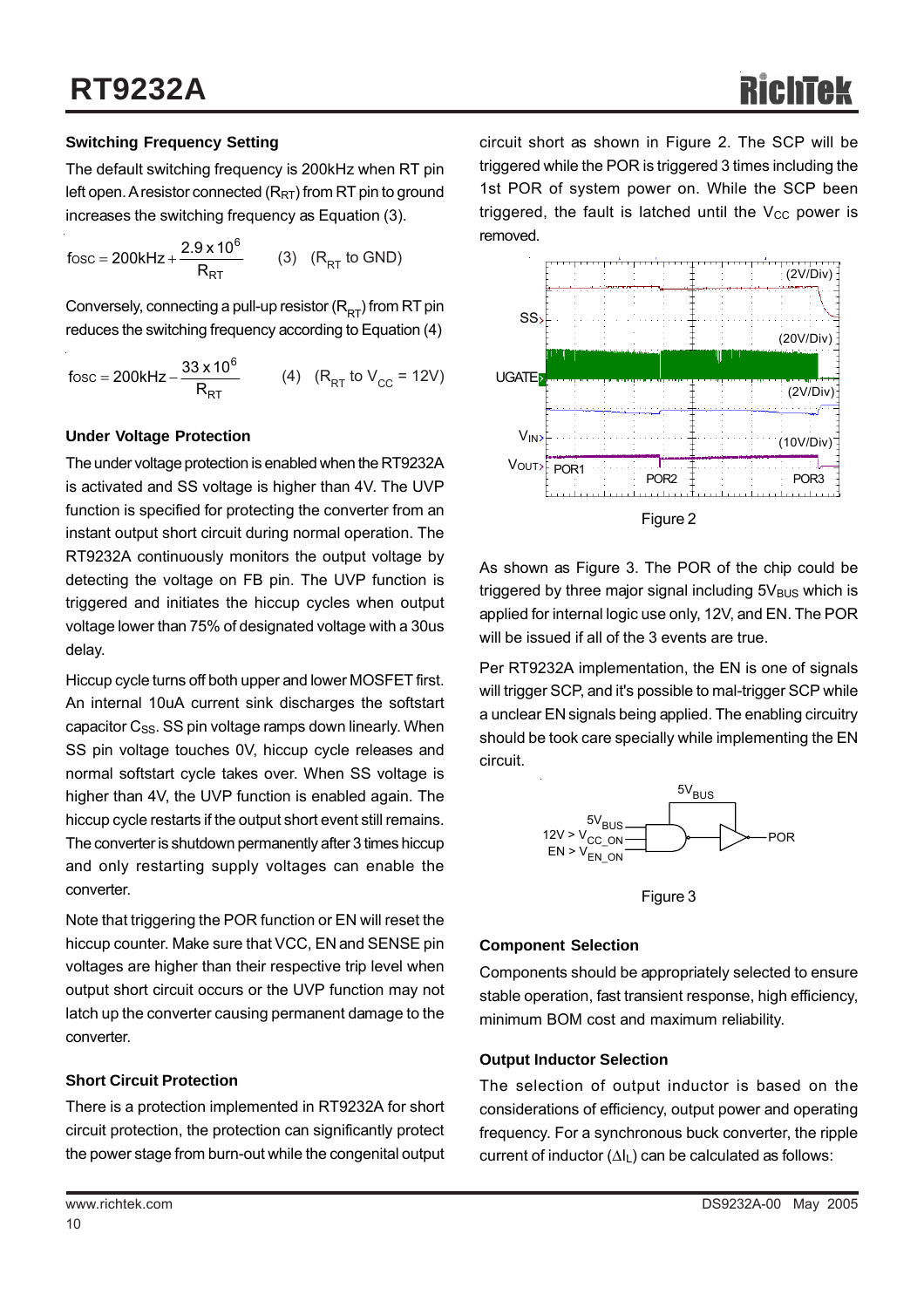#### **Switching Frequency Setting**

The default switching frequency is 200kHz when RT pin left open. A resistor connected  $(R_{RT})$  from RT pin to ground increases the switching frequency as Equation (3).

RT 6 fosc = 200kHz +  $\frac{2.9 \times 10^{6}}{R_{RT}}$  (3) (R<sub>RT</sub> to GND)

Conversely, connecting a pull-up resistor  $(R<sub>RT</sub>)$  from RT pin reduces the switching frequency according to Equation (4)

$$
fosc = 200kHz - \frac{33 \times 10^6}{R_{RT}} \qquad (4) \quad (R_{RT} \text{ to } V_{CC} = 12V)
$$

#### **Under Voltage Protection**

The under voltage protection is enabled when the RT9232A is activated and SS voltage is higher than 4V. The UVP function is specified for protecting the converter from an instant output short circuit during normal operation. The RT9232A continuously monitors the output voltage by detecting the voltage on FB pin. The UVP function is triggered and initiates the hiccup cycles when output voltage lower than 75% of designated voltage with a 30us delay.

Hiccup cycle turns off both upper and lower MOSFET first. An internal 10uA current sink discharges the softstart capacitor  $C_{SS}$ . SS pin voltage ramps down linearly. When SS pin voltage touches 0V, hiccup cycle releases and normal softstart cycle takes over. When SS voltage is higher than 4V, the UVP function is enabled again. The hiccup cycle restarts if the output short event still remains. The converter is shutdown permanently after 3 times hiccup and only restarting supply voltages can enable the converter.

Note that triggering the POR function or EN will reset the hiccup counter. Make sure that VCC, EN and SENSE pin voltages are higher than their respective trip level when output short circuit occurs or the UVP function may not latch up the converter causing permanent damage to the converter.

#### **Short Circuit Protection**

There is a protection implemented in RT9232A for short circuit protection, the protection can significantly protect the power stage from burn-out while the congenital output



As shown as Figure 3. The POR of the chip could be triggered by three major signal including  $5V_{BUS}$  which is applied for internal logic use only, 12V, and EN. The POR will be issued if all of the 3 events are true.

Per RT9232A implementation, the EN is one of signals will trigger SCP, and it's possible to mal-trigger SCP while a unclear EN signals being applied. The enabling circuitry should be took care specially while implementing the EN circuit.



Figure 3

#### **Component Selection**

Components should be appropriately selected to ensure stable operation, fast transient response, high efficiency, minimum BOM cost and maximum reliability.

#### **Output Inductor Selection**

The selection of output inductor is based on the considerations of efficiency, output power and operating frequency. For a synchronous buck converter, the ripple current of inductor (ΔIL) can be calculated as follows: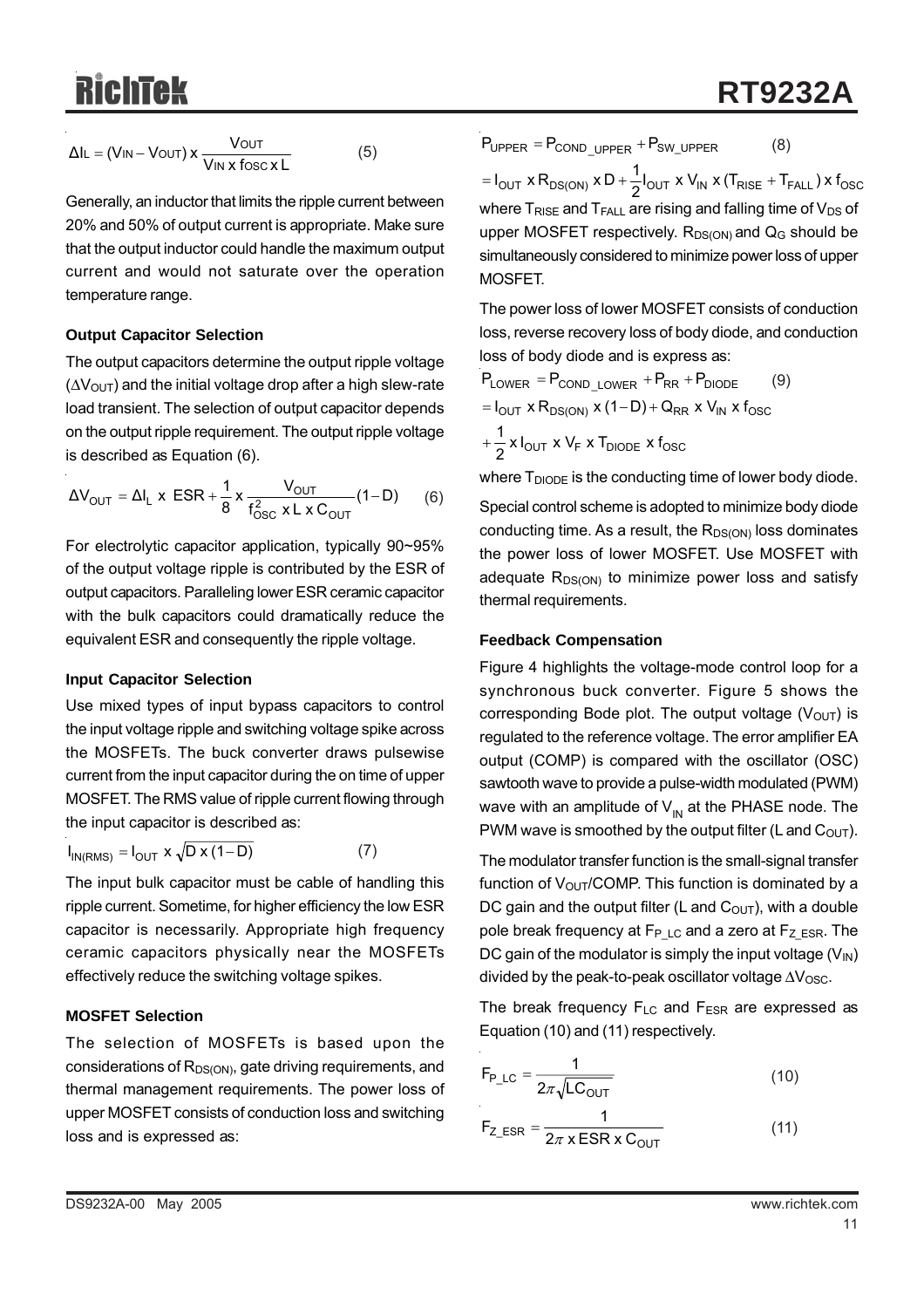$$
\Delta I_{L} = (V_{IN} - V_{OUT}) \times \frac{V_{OUT}}{V_{IN} \times \text{fosc} \times L}
$$
 (5)

Generally, an inductor that limits the ripple current between 20% and 50% of output current is appropriate. Make sure that the output inductor could handle the maximum output current and would not saturate over the operation temperature range.

#### **Output Capacitor Selection**

The output capacitors determine the output ripple voltage  $(\Delta V_{\text{OUT}})$  and the initial voltage drop after a high slew-rate load transient. The selection of output capacitor depends on the output ripple requirement. The output ripple voltage is described as Equation (6).

$$
\Delta V_{\text{OUT}} = \Delta I_{L} \times \text{ESR} + \frac{1}{8} \times \frac{V_{\text{OUT}}}{f_{\text{OSC}}^{2} \times L \times C_{\text{OUT}}} (1 - D) \tag{6}
$$

For electrolytic capacitor application, typically 90~95% of the output voltage ripple is contributed by the ESR of output capacitors. Paralleling lower ESR ceramic capacitor with the bulk capacitors could dramatically reduce the equivalent ESR and consequently the ripple voltage.

#### **Input Capacitor Selection**

Use mixed types of input bypass capacitors to control the input voltage ripple and switching voltage spike across the MOSFETs. The buck converter draws pulsewise current from the input capacitor during the on time of upper MOSFET. The RMS value of ripple current flowing through the input capacitor is described as:

$$
I_{IN(RMS)} = I_{OUT} \times \sqrt{D \times (1 - D)}
$$
 (7)

The input bulk capacitor must be cable of handling this ripple current. Sometime, for higher efficiency the low ESR capacitor is necessarily. Appropriate high frequency ceramic capacitors physically near the MOSFETs effectively reduce the switching voltage spikes.

#### **MOSFET Selection**

The selection of MOSFETs is based upon the considerations of  $R_{DS(ON)}$ , gate driving requirements, and thermal management requirements. The power loss of upper MOSFET consists of conduction loss and switching loss and is expressed as:

$$
P_{\text{UPPER}} = P_{\text{COND\_UPPER}} + P_{\text{SW\_UPPER}} \tag{8}
$$

 $I = I_{\text{OUT}} \times R_{\text{DS(ON)}} \times D + \frac{1}{2} I_{\text{OUT}} \times V_{\text{IN}} \times (T_{\text{RISE}} + T_{\text{FALL}}) \times f_{\text{OSC}}$ where  $T_{RISE}$  and  $T_{FALL}$  are rising and falling time of  $V_{DS}$  of upper MOSFET respectively.  $R_{DS(ON)}$  and  $Q_G$  should be simultaneously considered to minimize power loss of upper MOSFET.

The power loss of lower MOSFET consists of conduction loss, reverse recovery loss of body diode, and conduction loss of body diode and is express as:

 $\frac{1}{2}$  x I<sub>OUT</sub> x V<sub>F</sub> x T<sub>DIODE</sub> x f<sub>OSC</sub>  $=$  I<sub>OUT</sub> x R<sub>DS(ON)</sub> x (1-D) + Q<sub>RR</sub> x V<sub>IN</sub> x f<sub>OSC</sub>  $P_{LOWER} = P_{COND\_LOWER} + P_{RR} + P_{DIODE}$  (9)  $+\frac{1}{2}$ 

where  $T_{DIODE}$  is the conducting time of lower body diode.

Special control scheme is adopted to minimize body diode conducting time. As a result, the  $R_{DS(ON)}$  loss dominates the power loss of lower MOSFET. Use MOSFET with adequate  $R_{DS(ON)}$  to minimize power loss and satisfy thermal requirements.

#### **Feedback Compensation**

Figure 4 highlights the voltage-mode control loop for a synchronous buck converter. Figure 5 shows the corresponding Bode plot. The output voltage  $(V<sub>OUT</sub>)$  is regulated to the reference voltage. The error amplifier EA output (COMP) is compared with the oscillator (OSC) sawtooth wave to provide a pulse-width modulated (PWM) wave with an amplitude of  $V_{\text{IN}}$  at the PHASE node. The PWM wave is smoothed by the output filter (L and  $C<sub>OUT</sub>$ ).

The modulator transfer function is the small-signal transfer function of  $V_{\text{OUT}}$ /COMP. This function is dominated by a DC gain and the output filter (L and  $C<sub>OUT</sub>$ ), with a double pole break frequency at  $F_{P LC}$  and a zero at  $F_Z_{ESR}$ . The DC gain of the modulator is simply the input voltage  $(V_{\text{IN}})$ divided by the peak-to-peak oscillator voltage  $\Delta V_{\rm OSC}$ .

The break frequency  $F_{LC}$  and  $F_{ESR}$  are expressed as Equation (10) and (11) respectively.

$$
F_{P\_LC} = \frac{1}{2\pi\sqrt{LC_{OUT}}}
$$
 (10)

$$
F_{Z\_ESR} = \frac{1}{2\pi \times ESR \times C_{OUT}} \tag{11}
$$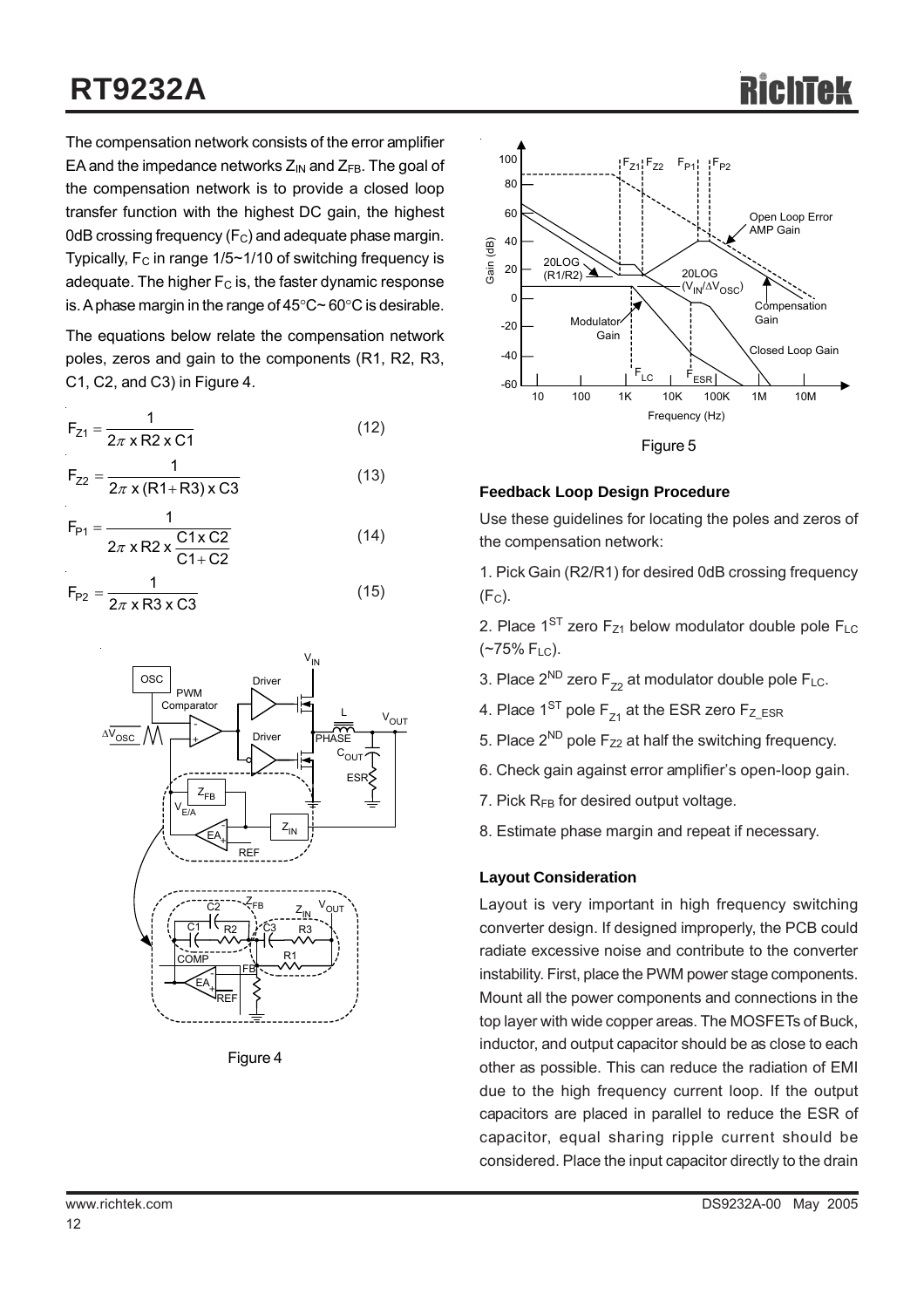# **RT9232A**

The compensation network consists of the error amplifier EA and the impedance networks  $Z_{IN}$  and  $Z_{FB}$ . The goal of the compensation network is to provide a closed loop transfer function with the highest DC gain, the highest 0dB crossing frequency  $(F_C)$  and adequate phase margin. Typically,  $F_C$  in range 1/5~1/10 of switching frequency is adequate. The higher  $F<sub>C</sub>$  is, the faster dynamic response is. A phase margin in the range of 45°C~ 60°C is desirable.

The equations below relate the compensation network poles, zeros and gain to the components (R1, R2, R3, C1, C2, and C3) in Figure 4.

$$
F_{Z1} = \frac{1}{2\pi \times R2 \times C1}
$$
 (12)

$$
F_{Z2} = \frac{1}{2\pi \times (R1 + R3) \times C3}
$$
 (13)

$$
F_{P1} = \frac{1}{2\pi \times R2 \times \frac{C1 \times C2}{C1 + C2}}
$$
 (14)

$$
F_{P2} = \frac{1}{2\pi \times R3 \times C3}
$$
 (15)







#### **Feedback Loop Design Procedure**

Use these guidelines for locating the poles and zeros of the compensation network:

1. Pick Gain (R2/R1) for desired 0dB crossing frequency  $(F<sub>C</sub>)$ .

2. Place  $1^{ST}$  zero  $F_{Z1}$  below modulator double pole  $F_{LC}$  $(-75\% F_{LC})$ .

- 3. Place  $2^{ND}$  zero  $F_{72}$  at modulator double pole  $F_{LC}$ .
- 4. Place  $1^{ST}$  pole  $F_{71}$  at the ESR zero  $F_{Z\_ESR}$
- 5. Place  $2^{ND}$  pole  $F_{72}$  at half the switching frequency.
- 6. Check gain against error amplifier's open-loop gain.
- 7. Pick  $R_{FB}$  for desired output voltage.
- 8. Estimate phase margin and repeat if necessary.

#### **Layout Consideration**

Layout is very important in high frequency switching converter design. If designed improperly, the PCB could radiate excessive noise and contribute to the converter instability. First, place the PWM power stage components. Mount all the power components and connections in the top layer with wide copper areas. The MOSFETs of Buck, inductor, and output capacitor should be as close to each other as possible. This can reduce the radiation of EMI due to the high frequency current loop. If the output capacitors are placed in parallel to reduce the ESR of capacitor, equal sharing ripple current should be considered. Place the input capacitor directly to the drain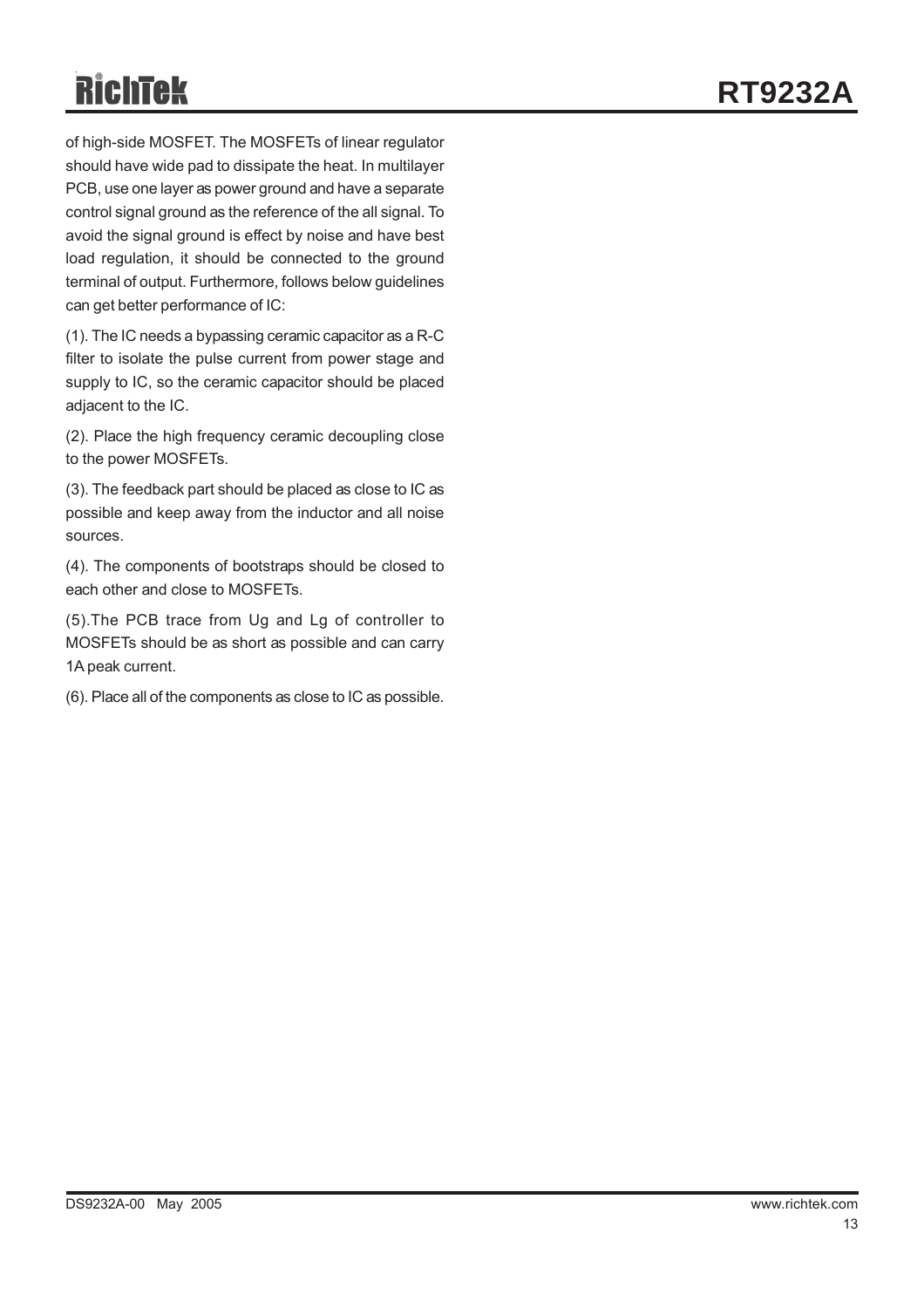of high-side MOSFET. The MOSFETs of linear regulator should have wide pad to dissipate the heat. In multilayer PCB, use one layer as power ground and have a separate control signal ground as the reference of the all signal. To avoid the signal ground is effect by noise and have best load regulation, it should be connected to the ground terminal of output. Furthermore, follows below guidelines can get better performance of IC:

(1). The IC needs a bypassing ceramic capacitor as a R-C filter to isolate the pulse current from power stage and supply to IC, so the ceramic capacitor should be placed adjacent to the IC.

(2). Place the high frequency ceramic decoupling close to the power MOSFETs.

(3). The feedback part should be placed as close to IC as possible and keep away from the inductor and all noise sources.

(4). The components of bootstraps should be closed to each other and close to MOSFETs.

(5).The PCB trace from Ug and Lg of controller to MOSFETs should be as short as possible and can carry 1A peak current.

(6). Place all of the components as close to IC as possible.